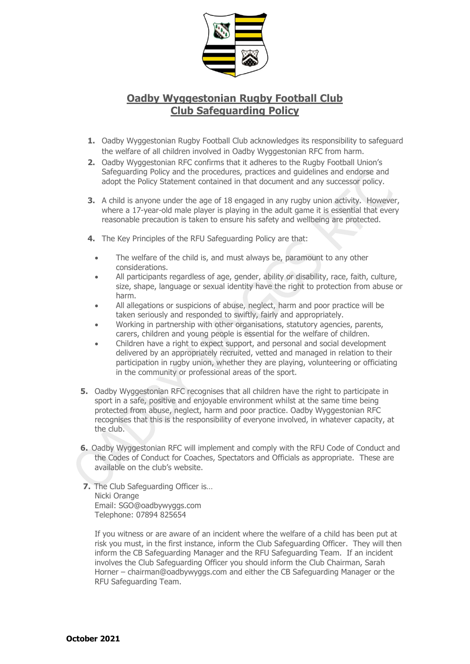

## **Oadby Wyggestonian Rugby Football Club Club Safeguarding Policy**

- **1.** Oadby Wyggestonian Rugby Football Club acknowledges its responsibility to safeguard the welfare of all children involved in Oadby Wyggestonian RFC from harm.
- **2.** Oadby Wyggestonian RFC confirms that it adheres to the Rugby Football Union's Safeguarding Policy and the procedures, practices and guidelines and endorse and adopt the Policy Statement contained in that document and any successor policy.
- **3.** A child is anyone under the age of 18 engaged in any rugby union activity. However, where a 17-year-old male player is playing in the adult game it is essential that every reasonable precaution is taken to ensure his safety and wellbeing are protected.
- **4.** The Key Principles of the RFU Safeguarding Policy are that:
	- The welfare of the child is, and must always be, paramount to any other considerations.
	- All participants regardless of age, gender, ability or disability, race, faith, culture, size, shape, language or sexual identity have the right to protection from abuse or harm.
	- All allegations or suspicions of abuse, neglect, harm and poor practice will be taken seriously and responded to swiftly, fairly and appropriately.
	- Working in partnership with other organisations, statutory agencies, parents, carers, children and young people is essential for the welfare of children.
	- Children have a right to expect support, and personal and social development delivered by an appropriately recruited, vetted and managed in relation to their participation in rugby union, whether they are playing, volunteering or officiating in the community or professional areas of the sport.
- **5.** Oadby Wyggestonian RFC recognises that all children have the right to participate in sport in a safe, positive and enjoyable environment whilst at the same time being protected from abuse, neglect, harm and poor practice. Oadby Wyggestonian RFC recognises that this is the responsibility of everyone involved, in whatever capacity, at the club.
- **6.** Oadby Wyggestonian RFC will implement and comply with the RFU Code of Conduct and the Codes of Conduct for Coaches, Spectators and Officials as appropriate. These are available on the club's website.
- **7.** The Club Safeguarding Officer is… Nicki Orange Email: SGO@oadbywyggs.com Telephone: 07894 825654

If you witness or are aware of an incident where the welfare of a child has been put at risk you must, in the first instance, inform the Club Safeguarding Officer. They will then inform the CB Safeguarding Manager and the RFU Safeguarding Team. If an incident involves the Club Safeguarding Officer you should inform the Club Chairman, Sarah Horner – chairman@oadbywyggs.com and either the CB Safeguarding Manager or the RFU Safeguarding Team.